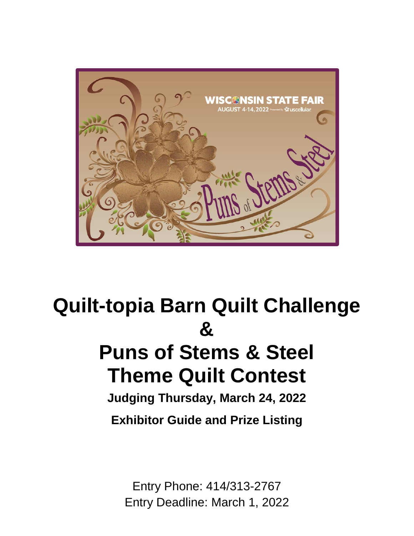

# **Quilt-topia Barn Quilt Challenge &**

## **Puns of Stems & Steel Theme Quilt Contest**

**Judging Thursday, March 24, 2022 Exhibitor Guide and Prize Listing**

Entry Phone: 414/313-2767 Entry Deadline: March 1, 2022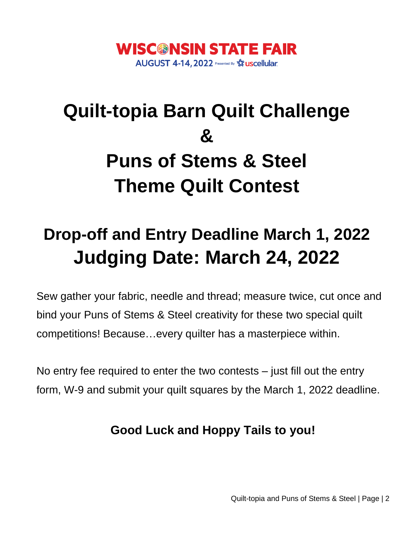

# **Quilt-topia Barn Quilt Challenge & Puns of Stems & Steel Theme Quilt Contest**

## **Drop-off and Entry Deadline March 1, 2022 Judging Date: March 24, 2022**

Sew gather your fabric, needle and thread; measure twice, cut once and bind your Puns of Stems & Steel creativity for these two special quilt competitions! Because…every quilter has a masterpiece within.

No entry fee required to enter the two contests – just fill out the entry form, W-9 and submit your quilt squares by the March 1, 2022 deadline.

### **Good Luck and Hoppy Tails to you!**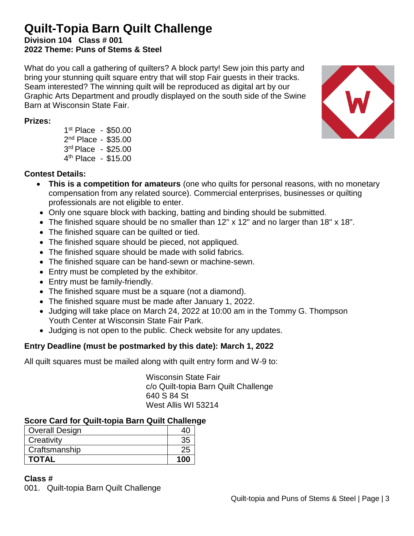### **Quilt-Topia Barn Quilt Challenge**

**Division 104 Class # 001 2022 Theme: Puns of Stems & Steel**

What do you call a gathering of quilters? A block party! Sew join this party and bring your stunning quilt square entry that will stop Fair guests in their tracks. Seam interested? The winning quilt will be reproduced as digital art by our Graphic Arts Department and proudly displayed on the south side of the Swine Barn at Wisconsin State Fair.

#### **Prizes:**

 st Place - \$50.00 2<sup>nd</sup> Place - \$35.00 rd Place - \$25.00 th Place - \$15.00

#### **Contest Details:**

- **This is a competition for amateurs** (one who quilts for personal reasons, with no monetary compensation from any related source). Commercial enterprises, businesses or quilting professionals are not eligible to enter.
- Only one square block with backing, batting and binding should be submitted.
- The finished square should be no smaller than 12" x 12" and no larger than 18" x 18".
- The finished square can be quilted or tied.
- The finished square should be pieced, not appliqued.
- The finished square should be made with solid fabrics.
- The finished square can be hand-sewn or machine-sewn.
- Entry must be completed by the exhibitor.
- Entry must be family-friendly.
- The finished square must be a square (not a diamond).
- The finished square must be made after January 1, 2022.
- Judging will take place on March 24, 2022 at 10:00 am in the Tommy G. Thompson Youth Center at Wisconsin State Fair Park.
- Judging is not open to the public. Check website for any updates.

#### **Entry Deadline (must be postmarked by this date): March 1, 2022**

All quilt squares must be mailed along with quilt entry form and W-9 to:

Wisconsin State Fair c/o Quilt-topia Barn Quilt Challenge 640 S 84 St West Allis WI 53214

#### **Score Card for Quilt-topia Barn Quilt Challenge**

| <b>TOTAL</b>          | 100 |
|-----------------------|-----|
| Craftsmanship         | 25  |
| Creativity            | 35  |
| <b>Overall Design</b> |     |

#### **Class #**

001. Quilt-topia Barn Quilt Challenge

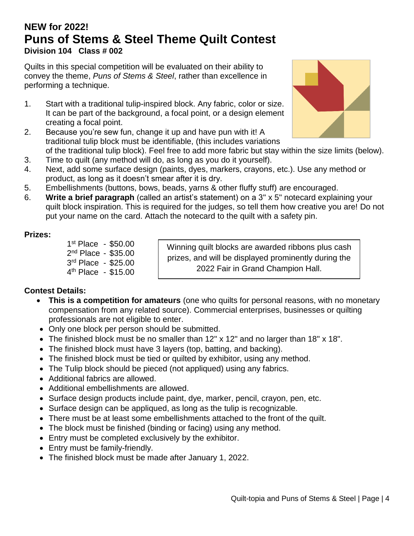#### **NEW for 2022! Puns of Stems & Steel Theme Quilt Contest Division 104 Class # 002**

Quilts in this special competition will be evaluated on their ability to convey the theme, *Puns of Stems & Steel*, rather than excellence in performing a technique.

- 1. Start with a traditional tulip-inspired block. Any fabric, color or size. It can be part of the background, a focal point, or a design element creating a focal point.
- 2. Because you're sew fun, change it up and have pun with it! A traditional tulip block must be identifiable, (this includes variations of the traditional tulip block). Feel free to add more fabric but stay within the size limits (below).
- 3. Time to quilt (any method will do, as long as you do it yourself).
- 4. Next, add some surface design (paints, dyes, markers, crayons, etc.). Use any method or product, as long as it doesn't smear after it is dry.
- 5. Embellishments (buttons, bows, beads, yarns & other fluffy stuff) are encouraged.
- 6. **Write a brief paragraph** (called an artist's statement) on a 3" x 5" notecard explaining your quilt block inspiration. This is required for the judges, so tell them how creative you are! Do not put your name on the card. Attach the notecard to the quilt with a safety pin.

#### **Prizes:**

1 st Place - \$50.00 2<sup>nd</sup> Place - \$35.00 3 rd Place - \$25.00 4<sup>th</sup> Place - \$15.00

Winning quilt blocks are awarded ribbons plus cash prizes, and will be displayed prominently during the 2022 Fair in Grand Champion Hall.

#### **Contest Details:**

- **This is a competition for amateurs** (one who quilts for personal reasons, with no monetary compensation from any related source). Commercial enterprises, businesses or quilting professionals are not eligible to enter.
- Only one block per person should be submitted.
- The finished block must be no smaller than 12" x 12" and no larger than 18" x 18".
- The finished block must have 3 layers (top, batting, and backing).
- The finished block must be tied or quilted by exhibitor, using any method.
- The Tulip block should be pieced (not appliqued) using any fabrics.
- Additional fabrics are allowed.
- Additional embellishments are allowed.
- Surface design products include paint, dye, marker, pencil, crayon, pen, etc.
- Surface design can be appliqued, as long as the tulip is recognizable.
- There must be at least some embellishments attached to the front of the quilt.
- The block must be finished (binding or facing) using any method.
- Entry must be completed exclusively by the exhibitor.
- Entry must be family-friendly.
- The finished block must be made after January 1, 2022.